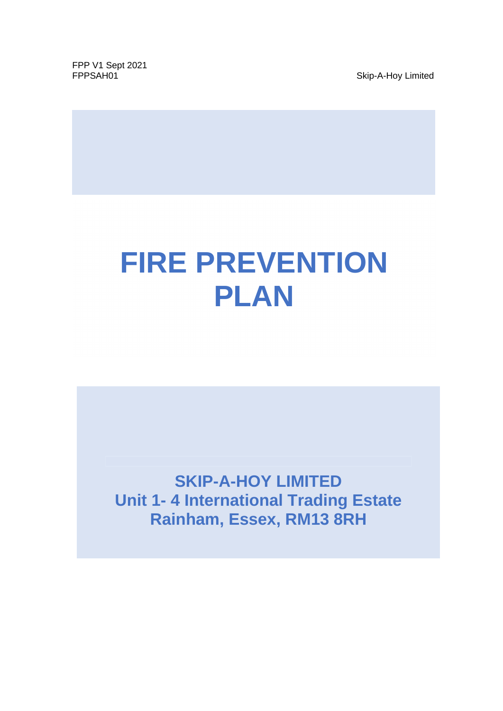FPP V1 Sept 2021<br>FPPSAH01

Skip-A-Hoy Limited

# **FIRE PREVENTION PLAN**

**SKIP-A-HOY LIMITED Unit 1- 4 International Trading Estate Rainham, Essex, RM13 8RH**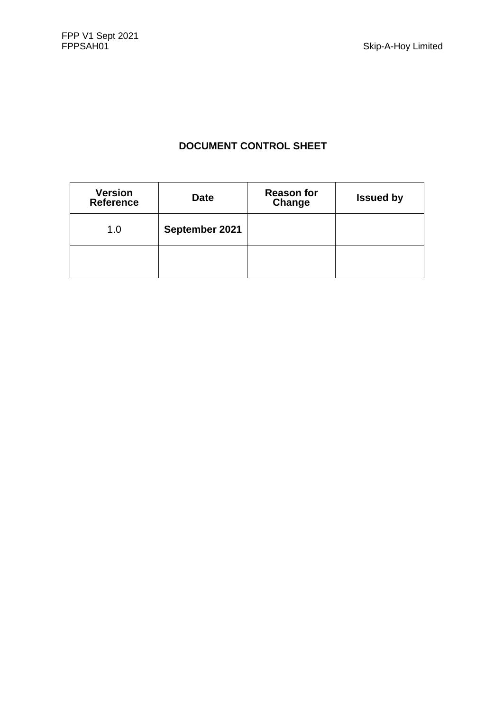# **DOCUMENT CONTROL SHEET**

| <b>Version</b><br><b>Reference</b> | <b>Date</b>    | <b>Reason for</b><br>Change | <b>Issued by</b> |
|------------------------------------|----------------|-----------------------------|------------------|
| 1.0                                | September 2021 |                             |                  |
|                                    |                |                             |                  |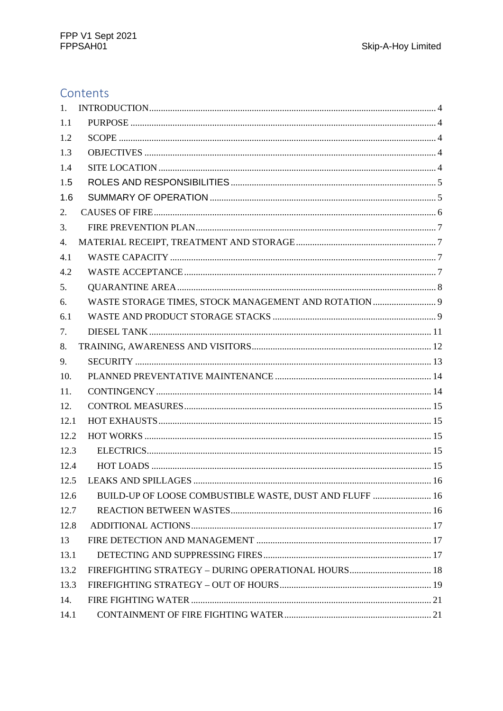# Contents

| 1.   |                                                         |  |
|------|---------------------------------------------------------|--|
| 1.1  |                                                         |  |
| 1.2  |                                                         |  |
| 1.3  |                                                         |  |
| 1.4  |                                                         |  |
| 1.5  |                                                         |  |
| 1.6  |                                                         |  |
| 2.   |                                                         |  |
| 3.   |                                                         |  |
| 4.   |                                                         |  |
| 4.1  |                                                         |  |
| 4.2  |                                                         |  |
| 5.   |                                                         |  |
| 6.   | WASTE STORAGE TIMES, STOCK MANAGEMENT AND ROTATION  9   |  |
| 6.1  |                                                         |  |
| 7.   |                                                         |  |
| 8.   |                                                         |  |
| 9.   |                                                         |  |
| 10.  |                                                         |  |
| 11.  |                                                         |  |
| 12.  |                                                         |  |
| 12.1 |                                                         |  |
| 12.2 |                                                         |  |
| 12.3 |                                                         |  |
| 12.4 |                                                         |  |
| 12.5 |                                                         |  |
| 12.6 | BUILD-UP OF LOOSE COMBUSTIBLE WASTE, DUST AND FLUFF  16 |  |
| 12.7 |                                                         |  |
| 12.8 |                                                         |  |
| 13   |                                                         |  |
| 13.1 |                                                         |  |
| 13.2 | FIREFIGHTING STRATEGY - DURING OPERATIONAL HOURS 18     |  |
| 13.3 |                                                         |  |
| 14.  |                                                         |  |
| 14.1 |                                                         |  |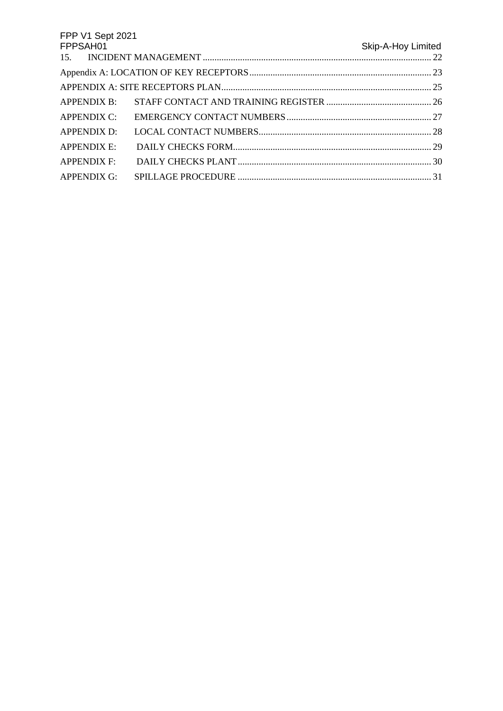| FPP V1 Sept 2021 |                    |
|------------------|--------------------|
| FPPSAH01         | Skip-A-Hoy Limited |
|                  |                    |
|                  |                    |
|                  |                    |
|                  |                    |
|                  |                    |
| APPENDIX D:      |                    |
| APPENDIX E:      |                    |
|                  |                    |
| APPENDIX G:      |                    |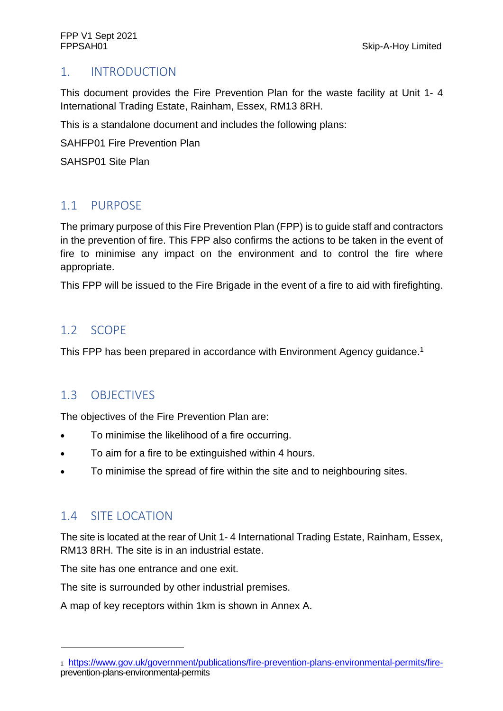# 1. INTRODUCTION

This document provides the Fire Prevention Plan for the waste facility at Unit 1- 4 International Trading Estate, Rainham, Essex, RM13 8RH.

This is a standalone document and includes the following plans:

SAHFP01 Fire Prevention Plan

SAHSP01 Site Plan

# 1.1 PURPOSE

The primary purpose of this Fire Prevention Plan (FPP) is to guide staff and contractors in the prevention of fire. This FPP also confirms the actions to be taken in the event of fire to minimise any impact on the environment and to control the fire where appropriate.

This FPP will be issued to the Fire Brigade in the event of a fire to aid with firefighting.

# 1.2 SCOPE

This FPP has been prepared in accordance with Environment Agency guidance.<sup>1</sup>

# 1.3 OBJECTIVES

The objectives of the Fire Prevention Plan are:

- To minimise the likelihood of a fire occurring.
- To aim for a fire to be extinguished within 4 hours.
- To minimise the spread of fire within the site and to neighbouring sites.

# 1.4 SITE LOCATION

The site is located at the rear of Unit 1- 4 International Trading Estate, Rainham, Essex, RM13 8RH. The site is in an industrial estate.

The site has one entrance and one exit.

The site is surrounded by other industrial premises.

A map of key receptors within 1km is shown in Annex A.

<sup>1</sup> https://www.gov.uk/government/publications/fire-prevention-plans-environmental-permits/fireprevention-plans-environmental-permits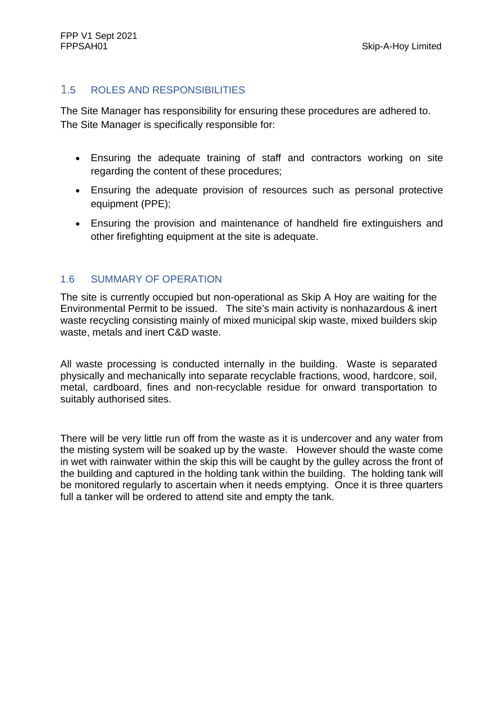#### 1.5 ROLES AND RESPONSIBILITIES

The Site Manager has responsibility for ensuring these procedures are adhered to. The Site Manager is specifically responsible for:

- Ensuring the adequate training of staff and contractors working on site regarding the content of these procedures;
- Ensuring the adequate provision of resources such as personal protective equipment (PPE);
- Ensuring the provision and maintenance of handheld fire extinguishers and other firefighting equipment at the site is adequate.

#### 1.6 SUMMARY OF OPERATION

The site is currently occupied but non-operational as Skip A Hoy are waiting for the Environmental Permit to be issued. The site's main activity is nonhazardous & inert waste recycling consisting mainly of mixed municipal skip waste, mixed builders skip waste, metals and inert C&D waste.

All waste processing is conducted internally in the building. Waste is separated physically and mechanically into separate recyclable fractions, wood, hardcore, soil, metal, cardboard, fines and non-recyclable residue for onward transportation to suitably authorised sites.

There will be very little run off from the waste as it is undercover and any water from the misting system will be soaked up by the waste. However should the waste come in wet with rainwater within the skip this will be caught by the gulley across the front of the building and captured in the holding tank within the building. The holding tank will be monitored regularly to ascertain when it needs emptying. Once it is three quarters full a tanker will be ordered to attend site and empty the tank.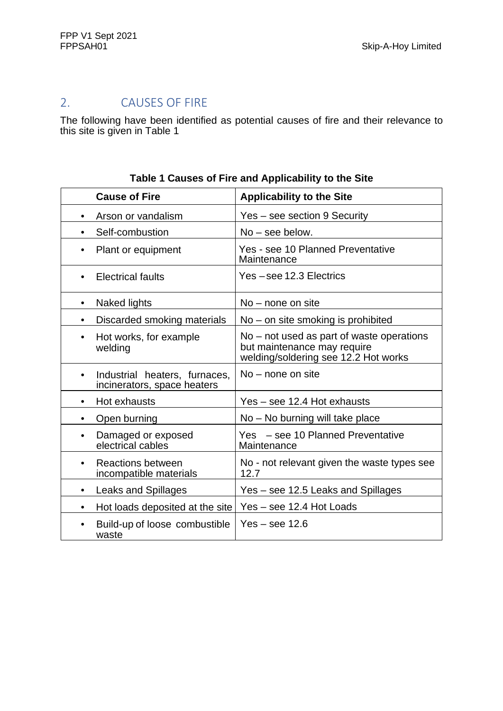# 2. CAUSES OF FIRE

The following have been identified as potential causes of fire and their relevance to this site is given in Table 1

| <b>Cause of Fire</b>                                                      | <b>Applicability to the Site</b>                                                                                 |
|---------------------------------------------------------------------------|------------------------------------------------------------------------------------------------------------------|
| Arson or vandalism<br>$\bullet$                                           | Yes – see section 9 Security                                                                                     |
| Self-combustion                                                           | $No - see below.$                                                                                                |
| Plant or equipment<br>٠                                                   | Yes - see 10 Planned Preventative<br>Maintenance                                                                 |
| <b>Electrical faults</b><br>$\bullet$                                     | Yes-see 12.3 Electrics                                                                                           |
| Naked lights<br>$\bullet$                                                 | $No$ – none on site                                                                                              |
| Discarded smoking materials<br>$\bullet$                                  | No – on site smoking is prohibited                                                                               |
| Hot works, for example<br>$\bullet$<br>welding                            | No – not used as part of waste operations<br>but maintenance may require<br>welding/soldering see 12.2 Hot works |
| Industrial heaters, furnaces,<br>$\bullet$<br>incinerators, space heaters | $No$ – none on site                                                                                              |
| Hot exhausts<br>$\bullet$                                                 | Yes – see 12.4 Hot exhausts                                                                                      |
| Open burning<br>٠                                                         | No – No burning will take place                                                                                  |
| Damaged or exposed<br>electrical cables                                   | Yes - see 10 Planned Preventative<br>Maintenance                                                                 |
| <b>Reactions between</b><br>incompatible materials                        | No - not relevant given the waste types see<br>12.7                                                              |
| <b>Leaks and Spillages</b><br>٠                                           | Yes – see 12.5 Leaks and Spillages                                                                               |
| Hot loads deposited at the site                                           | Yes - see 12.4 Hot Loads                                                                                         |
| Build-up of loose combustible<br>waste                                    | $Yes - see 12.6$                                                                                                 |

#### **Table 1 Causes of Fire and Applicability to the Site**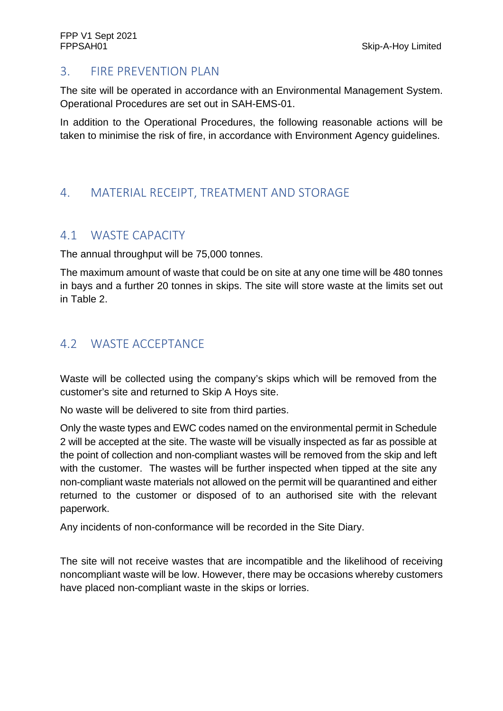## 3. FIRE PREVENTION PLAN

The site will be operated in accordance with an Environmental Management System. Operational Procedures are set out in SAH-EMS-01.

In addition to the Operational Procedures, the following reasonable actions will be taken to minimise the risk of fire, in accordance with Environment Agency guidelines.

# 4. MATERIAL RECEIPT, TREATMENT AND STORAGE

## 4.1 WASTE CAPACITY

The annual throughput will be 75,000 tonnes.

The maximum amount of waste that could be on site at any one time will be 480 tonnes in bays and a further 20 tonnes in skips. The site will store waste at the limits set out in Table 2.

# 4.2 WASTE ACCEPTANCE

Waste will be collected using the company's skips which will be removed from the customer's site and returned to Skip A Hoys site.

No waste will be delivered to site from third parties.

Only the waste types and EWC codes named on the environmental permit in Schedule 2 will be accepted at the site. The waste will be visually inspected as far as possible at the point of collection and non-compliant wastes will be removed from the skip and left with the customer. The wastes will be further inspected when tipped at the site any non-compliant waste materials not allowed on the permit will be quarantined and either returned to the customer or disposed of to an authorised site with the relevant paperwork.

Any incidents of non-conformance will be recorded in the Site Diary.

The site will not receive wastes that are incompatible and the likelihood of receiving noncompliant waste will be low. However, there may be occasions whereby customers have placed non-compliant waste in the skips or lorries.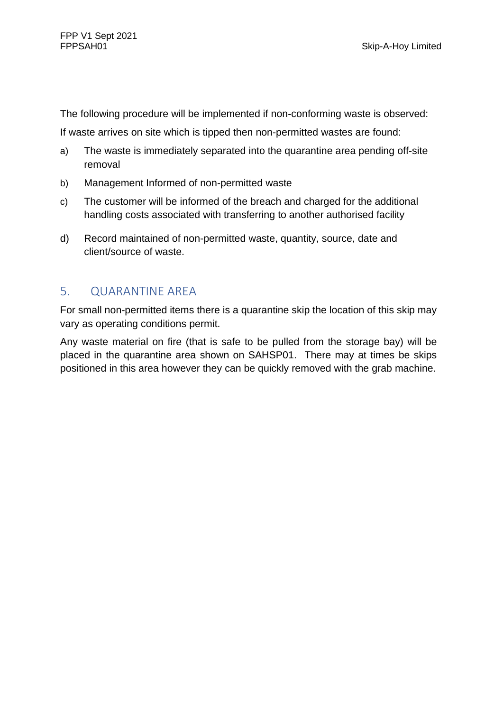The following procedure will be implemented if non-conforming waste is observed:

If waste arrives on site which is tipped then non-permitted wastes are found:

- a) The waste is immediately separated into the quarantine area pending off-site removal
- b) Management Informed of non-permitted waste
- c) The customer will be informed of the breach and charged for the additional handling costs associated with transferring to another authorised facility
- d) Record maintained of non-permitted waste, quantity, source, date and client/source of waste.

# 5. QUARANTINE AREA

For small non-permitted items there is a quarantine skip the location of this skip may vary as operating conditions permit.

Any waste material on fire (that is safe to be pulled from the storage bay) will be placed in the quarantine area shown on SAHSP01. There may at times be skips positioned in this area however they can be quickly removed with the grab machine.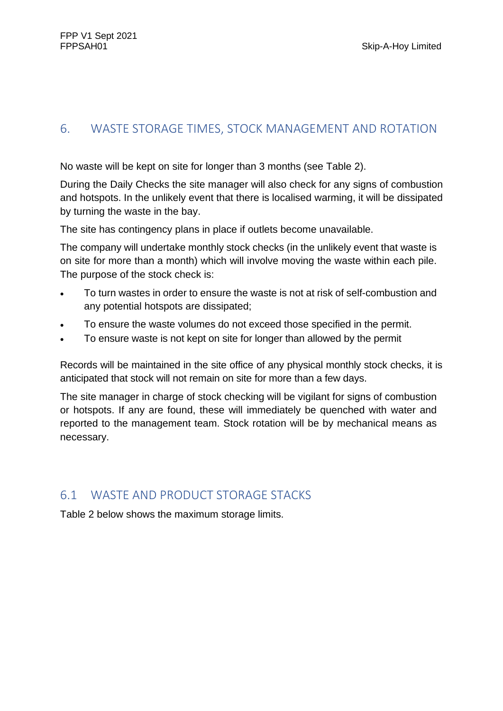# 6. WASTE STORAGE TIMES, STOCK MANAGEMENT AND ROTATION

No waste will be kept on site for longer than 3 months (see Table 2).

During the Daily Checks the site manager will also check for any signs of combustion and hotspots. In the unlikely event that there is localised warming, it will be dissipated by turning the waste in the bay.

The site has contingency plans in place if outlets become unavailable.

The company will undertake monthly stock checks (in the unlikely event that waste is on site for more than a month) which will involve moving the waste within each pile. The purpose of the stock check is:

- To turn wastes in order to ensure the waste is not at risk of self-combustion and any potential hotspots are dissipated;
- To ensure the waste volumes do not exceed those specified in the permit.
- To ensure waste is not kept on site for longer than allowed by the permit

Records will be maintained in the site office of any physical monthly stock checks, it is anticipated that stock will not remain on site for more than a few days.

The site manager in charge of stock checking will be vigilant for signs of combustion or hotspots. If any are found, these will immediately be quenched with water and reported to the management team. Stock rotation will be by mechanical means as necessary.

# 6.1 WASTE AND PRODUCT STORAGE STACKS

Table 2 below shows the maximum storage limits.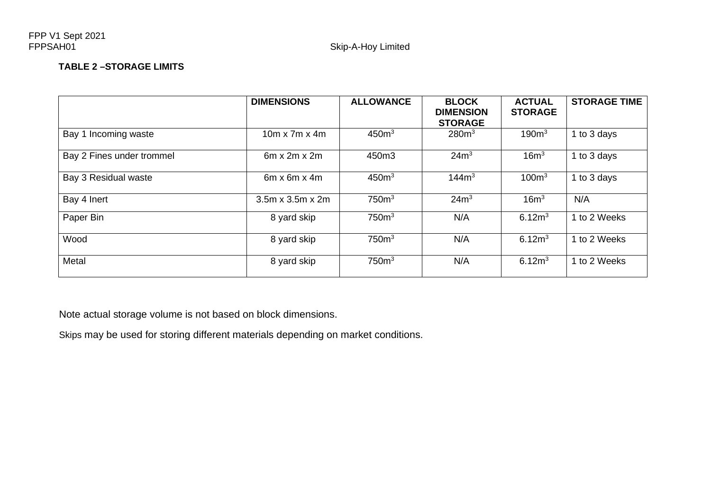#### **TABLE 2 –STORAGE LIMITS**

|                           | <b>DIMENSIONS</b>            | <b>ALLOWANCE</b>  | <b>BLOCK</b><br><b>DIMENSION</b>    | <b>ACTUAL</b><br><b>STORAGE</b> | <b>STORAGE TIME</b> |
|---------------------------|------------------------------|-------------------|-------------------------------------|---------------------------------|---------------------|
| Bay 1 Incoming waste      | $10m \times 7m \times 4m$    | 450 <sup>m3</sup> | <b>STORAGE</b><br>280 <sup>m3</sup> | 190 <sup>m3</sup>               | 1 to 3 days         |
| Bay 2 Fines under trommel | $6m \times 2m \times 2m$     | 450m3             | 24m <sup>3</sup>                    | 16m <sup>3</sup>                | 1 to 3 days         |
| Bay 3 Residual waste      | $6m \times 6m \times 4m$     | 450 <sup>m3</sup> | 144m <sup>3</sup>                   | 100m <sup>3</sup>               | 1 to 3 days         |
| Bay 4 Inert               | $3.5m \times 3.5m \times 2m$ | 750 <sup>m3</sup> | 24m <sup>3</sup>                    | 16m <sup>3</sup>                | N/A                 |
| Paper Bin                 | 8 yard skip                  | 750 <sup>m3</sup> | N/A                                 | 6.12 <sup>m</sup>               | 1 to 2 Weeks        |
| Wood                      | 8 yard skip                  | 750 <sup>m3</sup> | N/A                                 | 6.12 <sup>m</sup>               | 1 to 2 Weeks        |
| Metal                     | 8 yard skip                  | 750 <sup>m3</sup> | N/A                                 | 6.12 <sup>m</sup>               | 1 to 2 Weeks        |

Note actual storage volume is not based on block dimensions.

Skips may be used for storing different materials depending on market conditions.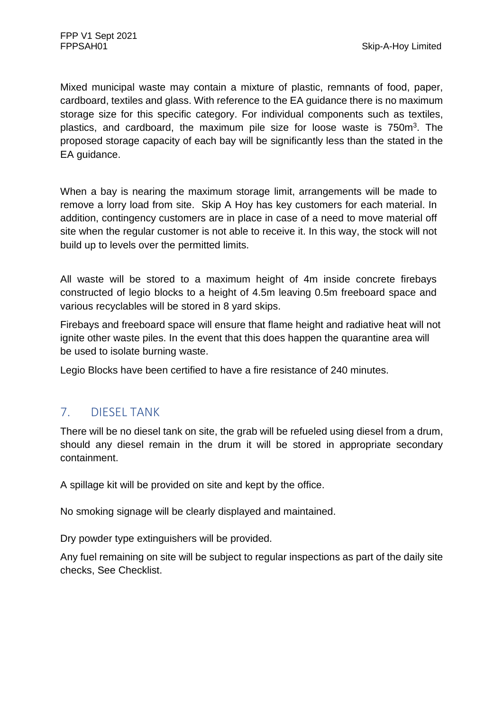Mixed municipal waste may contain a mixture of plastic, remnants of food, paper, cardboard, textiles and glass. With reference to the EA guidance there is no maximum storage size for this specific category. For individual components such as textiles, plastics, and cardboard, the maximum pile size for loose waste is 750m<sup>3</sup>. The proposed storage capacity of each bay will be significantly less than the stated in the EA guidance.

When a bay is nearing the maximum storage limit, arrangements will be made to remove a lorry load from site. Skip A Hoy has key customers for each material. In addition, contingency customers are in place in case of a need to move material off site when the regular customer is not able to receive it. In this way, the stock will not build up to levels over the permitted limits.

All waste will be stored to a maximum height of 4m inside concrete firebays constructed of legio blocks to a height of 4.5m leaving 0.5m freeboard space and various recyclables will be stored in 8 yard skips.

Firebays and freeboard space will ensure that flame height and radiative heat will not ignite other waste piles. In the event that this does happen the quarantine area will be used to isolate burning waste.

Legio Blocks have been certified to have a fire resistance of 240 minutes.

# 7. DIESEL TANK

There will be no diesel tank on site, the grab will be refueled using diesel from a drum, should any diesel remain in the drum it will be stored in appropriate secondary containment.

A spillage kit will be provided on site and kept by the office.

No smoking signage will be clearly displayed and maintained.

Dry powder type extinguishers will be provided.

Any fuel remaining on site will be subject to regular inspections as part of the daily site checks, See Checklist.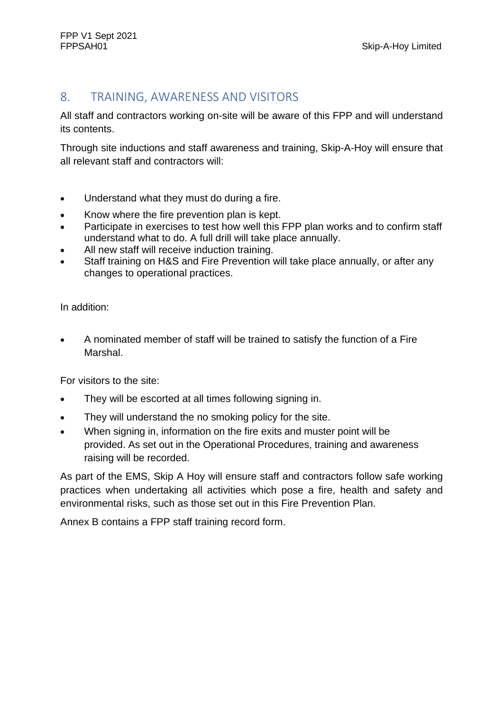## 8. TRAINING, AWARENESS AND VISITORS

All staff and contractors working on-site will be aware of this FPP and will understand its contents.

Through site inductions and staff awareness and training, Skip-A-Hoy will ensure that all relevant staff and contractors will:

- Understand what they must do during a fire.
- Know where the fire prevention plan is kept.
- Participate in exercises to test how well this FPP plan works and to confirm staff understand what to do. A full drill will take place annually.
- All new staff will receive induction training.
- Staff training on H&S and Fire Prevention will take place annually, or after any changes to operational practices.

In addition:

 A nominated member of staff will be trained to satisfy the function of a Fire Marshal.

For visitors to the site:

- They will be escorted at all times following signing in.
- They will understand the no smoking policy for the site.
- When signing in, information on the fire exits and muster point will be provided. As set out in the Operational Procedures, training and awareness raising will be recorded.

As part of the EMS, Skip A Hoy will ensure staff and contractors follow safe working practices when undertaking all activities which pose a fire, health and safety and environmental risks, such as those set out in this Fire Prevention Plan.

Annex B contains a FPP staff training record form.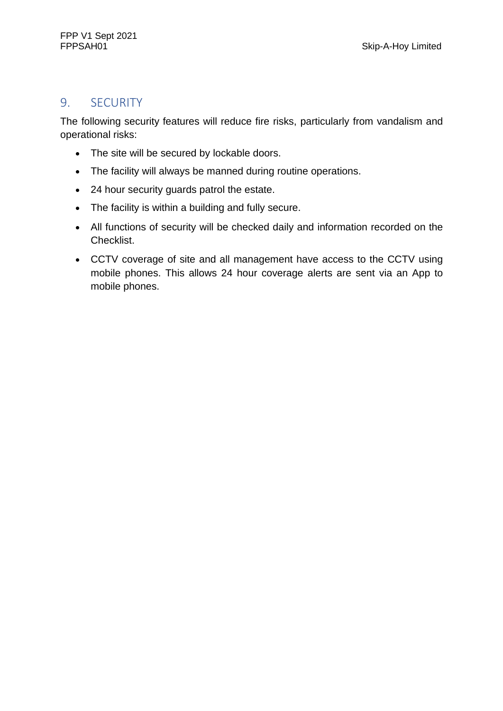## 9. SECURITY

The following security features will reduce fire risks, particularly from vandalism and operational risks:

- The site will be secured by lockable doors.
- The facility will always be manned during routine operations.
- 24 hour security guards patrol the estate.
- The facility is within a building and fully secure.
- All functions of security will be checked daily and information recorded on the Checklist.
- CCTV coverage of site and all management have access to the CCTV using mobile phones. This allows 24 hour coverage alerts are sent via an App to mobile phones.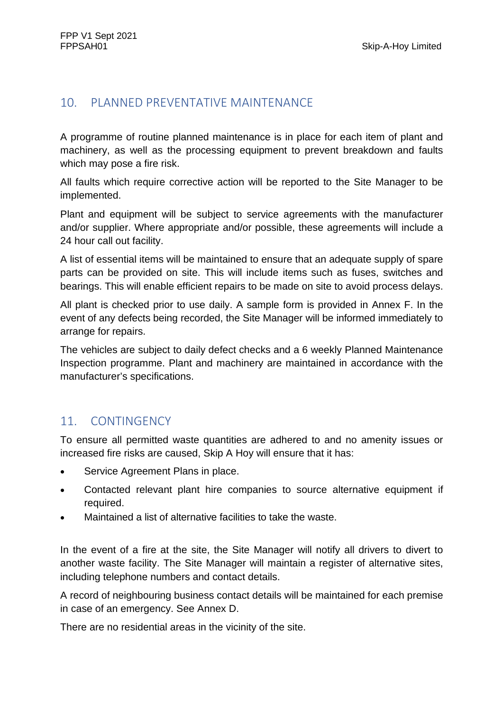## 10. PLANNED PREVENTATIVE MAINTENANCE

A programme of routine planned maintenance is in place for each item of plant and machinery, as well as the processing equipment to prevent breakdown and faults which may pose a fire risk.

All faults which require corrective action will be reported to the Site Manager to be implemented.

Plant and equipment will be subject to service agreements with the manufacturer and/or supplier. Where appropriate and/or possible, these agreements will include a 24 hour call out facility.

A list of essential items will be maintained to ensure that an adequate supply of spare parts can be provided on site. This will include items such as fuses, switches and bearings. This will enable efficient repairs to be made on site to avoid process delays.

All plant is checked prior to use daily. A sample form is provided in Annex F. In the event of any defects being recorded, the Site Manager will be informed immediately to arrange for repairs.

The vehicles are subject to daily defect checks and a 6 weekly Planned Maintenance Inspection programme. Plant and machinery are maintained in accordance with the manufacturer's specifications.

# 11. CONTINGENCY

To ensure all permitted waste quantities are adhered to and no amenity issues or increased fire risks are caused, Skip A Hoy will ensure that it has:

- Service Agreement Plans in place.
- Contacted relevant plant hire companies to source alternative equipment if required.
- Maintained a list of alternative facilities to take the waste.

In the event of a fire at the site, the Site Manager will notify all drivers to divert to another waste facility. The Site Manager will maintain a register of alternative sites, including telephone numbers and contact details.

A record of neighbouring business contact details will be maintained for each premise in case of an emergency. See Annex D.

There are no residential areas in the vicinity of the site.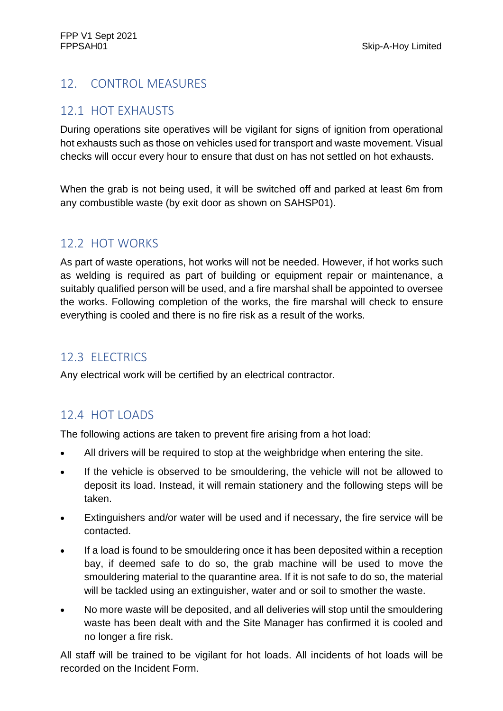# 12. CONTROL MEASURES

## 12.1 HOT EXHAUSTS

During operations site operatives will be vigilant for signs of ignition from operational hot exhausts such as those on vehicles used for transport and waste movement. Visual checks will occur every hour to ensure that dust on has not settled on hot exhausts.

When the grab is not being used, it will be switched off and parked at least 6m from any combustible waste (by exit door as shown on SAHSP01).

# 12.2 HOT WORKS

As part of waste operations, hot works will not be needed. However, if hot works such as welding is required as part of building or equipment repair or maintenance, a suitably qualified person will be used, and a fire marshal shall be appointed to oversee the works. Following completion of the works, the fire marshal will check to ensure everything is cooled and there is no fire risk as a result of the works.

# 12.3 ELECTRICS

Any electrical work will be certified by an electrical contractor.

# 12.4 HOT LOADS

The following actions are taken to prevent fire arising from a hot load:

- All drivers will be required to stop at the weighbridge when entering the site.
- If the vehicle is observed to be smouldering, the vehicle will not be allowed to deposit its load. Instead, it will remain stationery and the following steps will be taken.
- Extinguishers and/or water will be used and if necessary, the fire service will be contacted.
- If a load is found to be smouldering once it has been deposited within a reception bay, if deemed safe to do so, the grab machine will be used to move the smouldering material to the quarantine area. If it is not safe to do so, the material will be tackled using an extinguisher, water and or soil to smother the waste.
- No more waste will be deposited, and all deliveries will stop until the smouldering waste has been dealt with and the Site Manager has confirmed it is cooled and no longer a fire risk.

All staff will be trained to be vigilant for hot loads. All incidents of hot loads will be recorded on the Incident Form.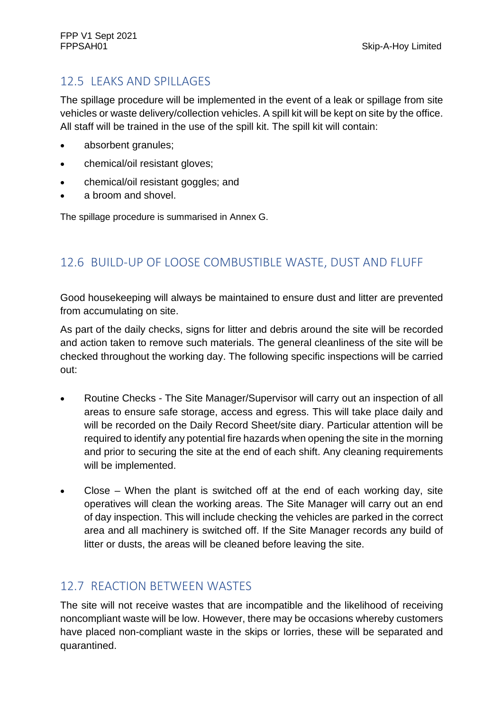# 12.5 LEAKS AND SPILLAGES

The spillage procedure will be implemented in the event of a leak or spillage from site vehicles or waste delivery/collection vehicles. A spill kit will be kept on site by the office. All staff will be trained in the use of the spill kit. The spill kit will contain:

- absorbent granules;
- chemical/oil resistant gloves;
- chemical/oil resistant goggles; and
- a broom and shovel.

The spillage procedure is summarised in Annex G.

# 12.6 BUILD-UP OF LOOSE COMBUSTIBLE WASTE, DUST AND FLUFF

Good housekeeping will always be maintained to ensure dust and litter are prevented from accumulating on site.

As part of the daily checks, signs for litter and debris around the site will be recorded and action taken to remove such materials. The general cleanliness of the site will be checked throughout the working day. The following specific inspections will be carried out:

- Routine Checks The Site Manager/Supervisor will carry out an inspection of all areas to ensure safe storage, access and egress. This will take place daily and will be recorded on the Daily Record Sheet/site diary. Particular attention will be required to identify any potential fire hazards when opening the site in the morning and prior to securing the site at the end of each shift. Any cleaning requirements will be implemented.
- Close When the plant is switched off at the end of each working day, site operatives will clean the working areas. The Site Manager will carry out an end of day inspection. This will include checking the vehicles are parked in the correct area and all machinery is switched off. If the Site Manager records any build of litter or dusts, the areas will be cleaned before leaving the site.

# 12.7 REACTION BETWEEN WASTES

The site will not receive wastes that are incompatible and the likelihood of receiving noncompliant waste will be low. However, there may be occasions whereby customers have placed non-compliant waste in the skips or lorries, these will be separated and quarantined.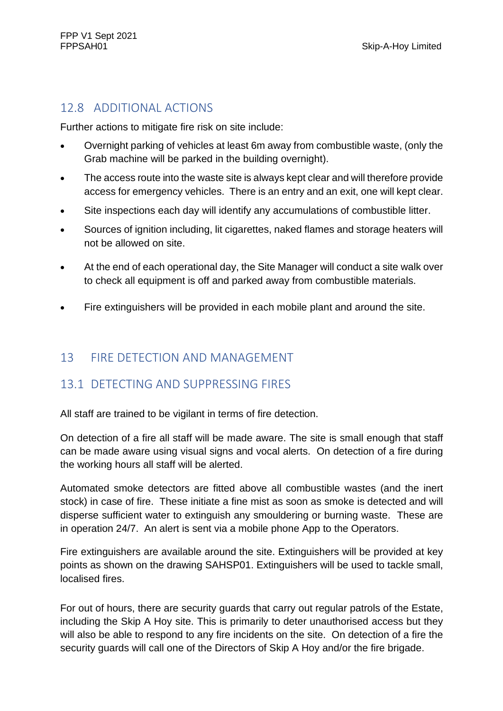# 12.8 ADDITIONAL ACTIONS

Further actions to mitigate fire risk on site include:

- Overnight parking of vehicles at least 6m away from combustible waste, (only the Grab machine will be parked in the building overnight).
- The access route into the waste site is always kept clear and will therefore provide access for emergency vehicles. There is an entry and an exit, one will kept clear.
- Site inspections each day will identify any accumulations of combustible litter.
- Sources of ignition including, lit cigarettes, naked flames and storage heaters will not be allowed on site.
- At the end of each operational day, the Site Manager will conduct a site walk over to check all equipment is off and parked away from combustible materials.
- Fire extinguishers will be provided in each mobile plant and around the site.

# 13 FIRE DETECTION AND MANAGEMENT

# 13.1 DETECTING AND SUPPRESSING FIRES

All staff are trained to be vigilant in terms of fire detection.

On detection of a fire all staff will be made aware. The site is small enough that staff can be made aware using visual signs and vocal alerts. On detection of a fire during the working hours all staff will be alerted.

Automated smoke detectors are fitted above all combustible wastes (and the inert stock) in case of fire. These initiate a fine mist as soon as smoke is detected and will disperse sufficient water to extinguish any smouldering or burning waste. These are in operation 24/7. An alert is sent via a mobile phone App to the Operators.

Fire extinguishers are available around the site. Extinguishers will be provided at key points as shown on the drawing SAHSP01. Extinguishers will be used to tackle small, localised fires.

For out of hours, there are security guards that carry out regular patrols of the Estate, including the Skip A Hoy site. This is primarily to deter unauthorised access but they will also be able to respond to any fire incidents on the site. On detection of a fire the security guards will call one of the Directors of Skip A Hoy and/or the fire brigade.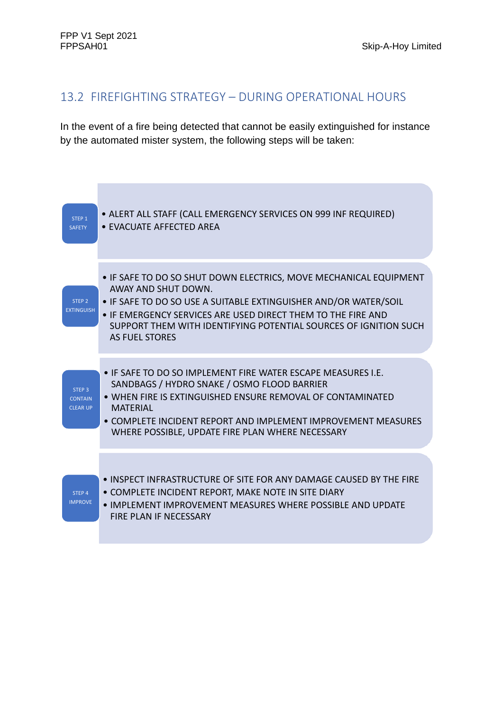#### 13.2 FIREFIGHTING STRATEGY – DURING OPERATIONAL HOURS

In the event of a fire being detected that cannot be easily extinguished for instance by the automated mister system, the following steps will be taken:

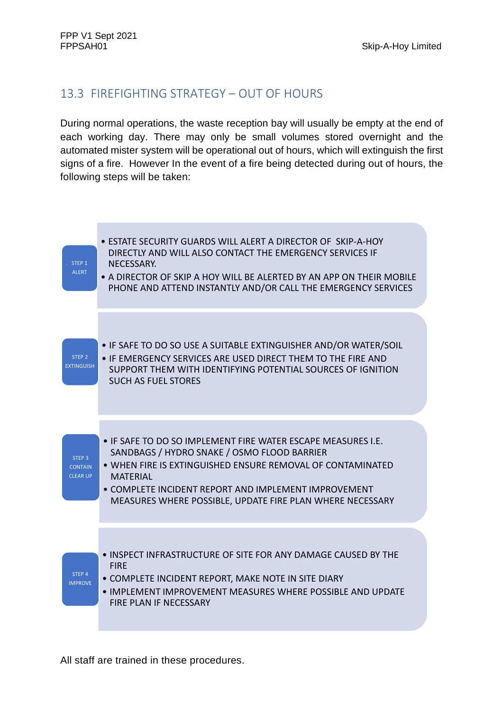# 13.3 FIREFIGHTING STRATEGY – OUT OF HOURS

During normal operations, the waste reception bay will usually be empty at the end of each working day. There may only be small volumes stored overnight and the automated mister system will be operational out of hours, which will extinguish the first signs of a fire. However In the event of a fire being detected during out of hours, the following steps will be taken:



All staff are trained in these procedures.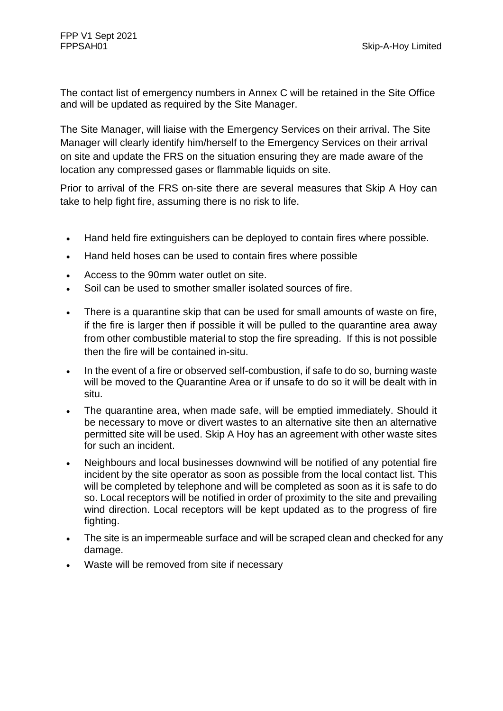The contact list of emergency numbers in Annex C will be retained in the Site Office and will be updated as required by the Site Manager.

The Site Manager, will liaise with the Emergency Services on their arrival. The Site Manager will clearly identify him/herself to the Emergency Services on their arrival on site and update the FRS on the situation ensuring they are made aware of the location any compressed gases or flammable liquids on site.

Prior to arrival of the FRS on-site there are several measures that Skip A Hoy can take to help fight fire, assuming there is no risk to life.

- Hand held fire extinguishers can be deployed to contain fires where possible.
- Hand held hoses can be used to contain fires where possible
- Access to the 90mm water outlet on site.
- Soil can be used to smother smaller isolated sources of fire.
- There is a quarantine skip that can be used for small amounts of waste on fire, if the fire is larger then if possible it will be pulled to the quarantine area away from other combustible material to stop the fire spreading. If this is not possible then the fire will be contained in-situ.
- In the event of a fire or observed self-combustion, if safe to do so, burning waste will be moved to the Quarantine Area or if unsafe to do so it will be dealt with in situ.
- The quarantine area, when made safe, will be emptied immediately. Should it be necessary to move or divert wastes to an alternative site then an alternative permitted site will be used. Skip A Hoy has an agreement with other waste sites for such an incident.
- Neighbours and local businesses downwind will be notified of any potential fire incident by the site operator as soon as possible from the local contact list. This will be completed by telephone and will be completed as soon as it is safe to do so. Local receptors will be notified in order of proximity to the site and prevailing wind direction. Local receptors will be kept updated as to the progress of fire fighting.
- The site is an impermeable surface and will be scraped clean and checked for any damage.
- Waste will be removed from site if necessary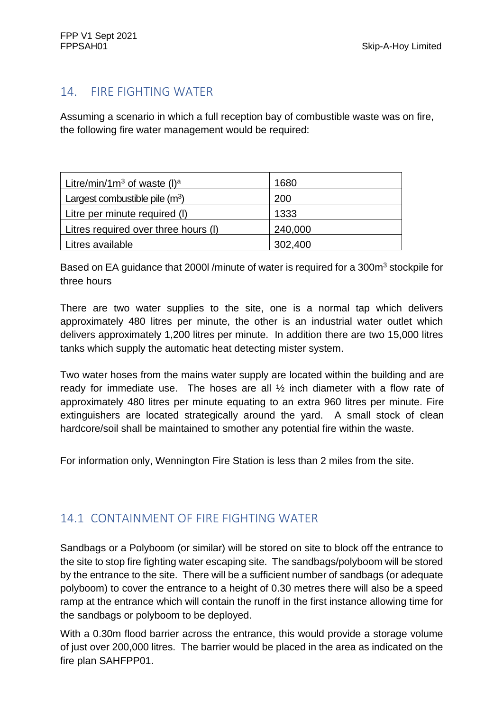## 14. FIRE FIGHTING WATER

Assuming a scenario in which a full reception bay of combustible waste was on fire, the following fire water management would be required:

| Litre/min/1m <sup>3</sup> of waste (I) <sup>a</sup> | 1680    |
|-----------------------------------------------------|---------|
| Largest combustible pile $(m^3)$                    | 200     |
| Litre per minute required (I)                       | 1333    |
| Litres required over three hours (I)                | 240,000 |
| Litres available                                    | 302,400 |

Based on EA guidance that 2000l /minute of water is required for a 300m<sup>3</sup> stockpile for three hours

There are two water supplies to the site, one is a normal tap which delivers approximately 480 litres per minute, the other is an industrial water outlet which delivers approximately 1,200 litres per minute. In addition there are two 15,000 litres tanks which supply the automatic heat detecting mister system.

Two water hoses from the mains water supply are located within the building and are ready for immediate use. The hoses are all ½ inch diameter with a flow rate of approximately 480 litres per minute equating to an extra 960 litres per minute. Fire extinguishers are located strategically around the yard. A small stock of clean hardcore/soil shall be maintained to smother any potential fire within the waste.

For information only, Wennington Fire Station is less than 2 miles from the site.

# 14.1 CONTAINMENT OF FIRE FIGHTING WATER

Sandbags or a Polyboom (or similar) will be stored on site to block off the entrance to the site to stop fire fighting water escaping site. The sandbags/polyboom will be stored by the entrance to the site. There will be a sufficient number of sandbags (or adequate polyboom) to cover the entrance to a height of 0.30 metres there will also be a speed ramp at the entrance which will contain the runoff in the first instance allowing time for the sandbags or polyboom to be deployed.

With a 0.30m flood barrier across the entrance, this would provide a storage volume of just over 200,000 litres. The barrier would be placed in the area as indicated on the fire plan SAHFPP01.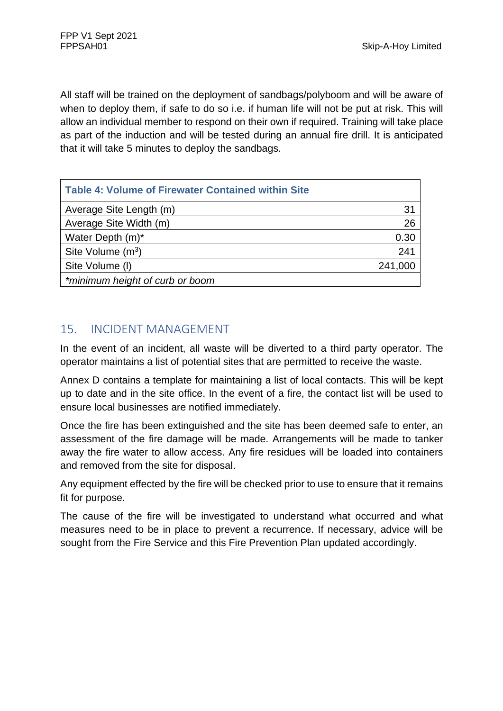All staff will be trained on the deployment of sandbags/polyboom and will be aware of when to deploy them, if safe to do so i.e. if human life will not be put at risk. This will allow an individual member to respond on their own if required. Training will take place as part of the induction and will be tested during an annual fire drill. It is anticipated that it will take 5 minutes to deploy the sandbags.

| <b>Table 4: Volume of Firewater Contained within Site</b> |         |
|-----------------------------------------------------------|---------|
| Average Site Length (m)                                   | 31      |
| Average Site Width (m)                                    | 26      |
| Water Depth (m)*                                          | 0.30    |
| Site Volume $(m^3)$                                       | 241     |
| Site Volume (I)                                           | 241,000 |
| *minimum height of curb or boom                           |         |

# 15. INCIDENT MANAGEMENT

In the event of an incident, all waste will be diverted to a third party operator. The operator maintains a list of potential sites that are permitted to receive the waste.

Annex D contains a template for maintaining a list of local contacts. This will be kept up to date and in the site office. In the event of a fire, the contact list will be used to ensure local businesses are notified immediately.

Once the fire has been extinguished and the site has been deemed safe to enter, an assessment of the fire damage will be made. Arrangements will be made to tanker away the fire water to allow access. Any fire residues will be loaded into containers and removed from the site for disposal.

Any equipment effected by the fire will be checked prior to use to ensure that it remains fit for purpose.

The cause of the fire will be investigated to understand what occurred and what measures need to be in place to prevent a recurrence. If necessary, advice will be sought from the Fire Service and this Fire Prevention Plan updated accordingly.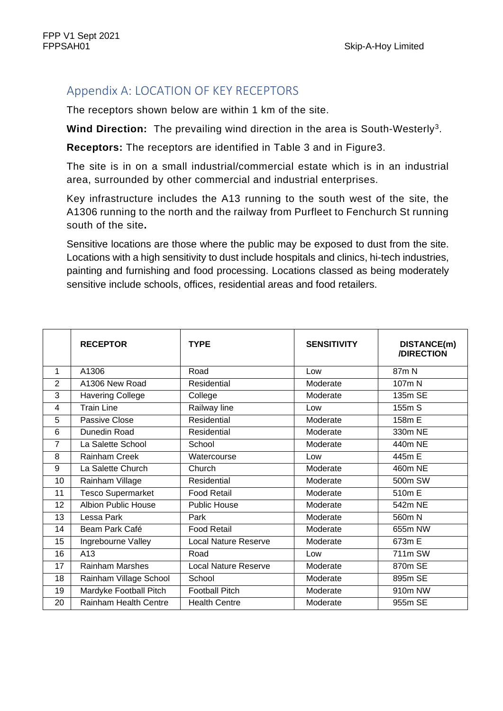# Appendix A: LOCATION OF KEY RECEPTORS

The receptors shown below are within 1 km of the site.

Wind Direction: The prevailing wind direction in the area is South-Westerly<sup>3</sup>.

**Receptors:** The receptors are identified in Table 3 and in Figure3.

The site is in on a small industrial/commercial estate which is in an industrial area, surrounded by other commercial and industrial enterprises.

Key infrastructure includes the A13 running to the south west of the site, the A1306 running to the north and the railway from Purfleet to Fenchurch St running south of the site**.** 

Sensitive locations are those where the public may be exposed to dust from the site. Locations with a high sensitivity to dust include hospitals and clinics, hi-tech industries, painting and furnishing and food processing. Locations classed as being moderately sensitive include schools, offices, residential areas and food retailers.

|                | <b>RECEPTOR</b>              | <b>TYPE</b>                 | <b>SENSITIVITY</b> | DISTANCE(m)<br>/DIRECTION |
|----------------|------------------------------|-----------------------------|--------------------|---------------------------|
| 1              | A1306                        | Road                        | Low                | 87m N                     |
| 2              | A1306 New Road               | Residential                 | Moderate           | 107m N                    |
| 3              | <b>Havering College</b>      | College                     | Moderate           | 135m SE                   |
| 4              | Train Line                   | Railway line                | Low                | 155m S                    |
| 5              | Passive Close                | Residential                 | Moderate           | 158m E                    |
| 6              | Dunedin Road                 | Residential                 | Moderate           | 330m NE                   |
| $\overline{7}$ | La Salette School            | School                      | Moderate           | 440m NE                   |
| 8              | Rainham Creek                | Watercourse                 | Low                | 445m E                    |
| 9              | La Salette Church            | Church                      | Moderate           | 460m NE                   |
| 10             | Rainham Village              | Residential                 | Moderate           | 500m SW                   |
| 11             | <b>Tesco Supermarket</b>     | <b>Food Retail</b>          | Moderate           | 510m E                    |
| 12             | <b>Albion Public House</b>   | <b>Public House</b>         | Moderate           | 542m NE                   |
| 13             | Lessa Park                   | Park                        | Moderate           | 560m N                    |
| 14             | Beam Park Café               | <b>Food Retail</b>          | Moderate           | 655m NW                   |
| 15             | Ingrebourne Valley           | <b>Local Nature Reserve</b> | Moderate           | 673m E                    |
| 16             | A13                          | Road                        | Low                | 711m SW                   |
| 17             | <b>Rainham Marshes</b>       | Local Nature Reserve        | Moderate           | 870m SE                   |
| 18             | Rainham Village School       | School                      | Moderate           | 895m SE                   |
| 19             | Mardyke Football Pitch       | <b>Football Pitch</b>       | Moderate           | 910m NW                   |
| 20             | <b>Rainham Health Centre</b> | <b>Health Centre</b>        | Moderate           | 955m SE                   |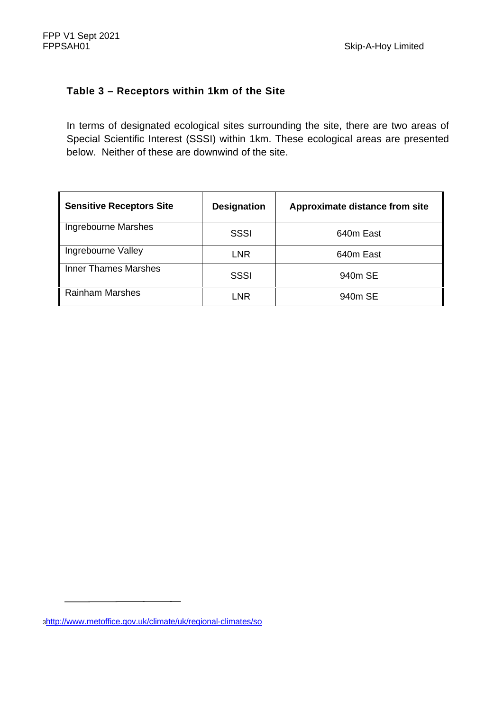#### **Table 3 – Receptors within 1km of the Site**

In terms of designated ecological sites surrounding the site, there are two areas of Special Scientific Interest (SSSI) within 1km. These ecological areas are presented below. Neither of these are downwind of the site.

| <b>Sensitive Receptors Site</b> | <b>Designation</b> | Approximate distance from site |
|---------------------------------|--------------------|--------------------------------|
| Ingrebourne Marshes             | SSSI               | 640m East                      |
| Ingrebourne Valley              | <b>LNR</b>         | 640m East                      |
| <b>Inner Thames Marshes</b>     | <b>SSSI</b>        | 940m SE                        |
| <b>Rainham Marshes</b>          | LNR                | 940m SE                        |

<sup>3</sup>http://www.metoffice.gov.uk/climate/uk/regional-climates/so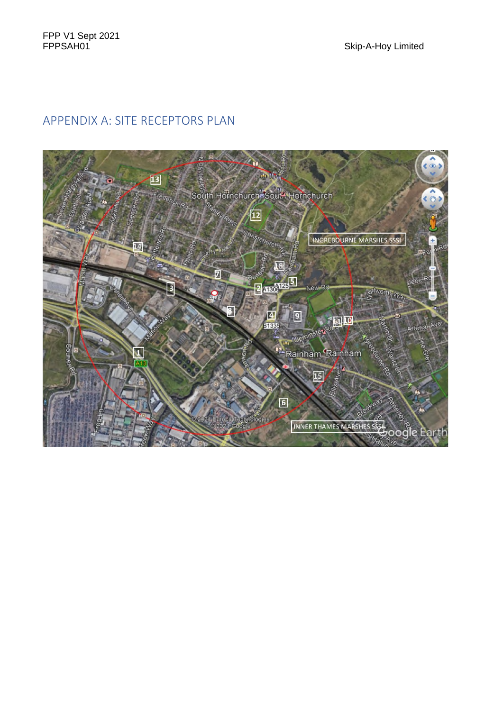# APPENDIX A: SITE RECEPTORS PLAN

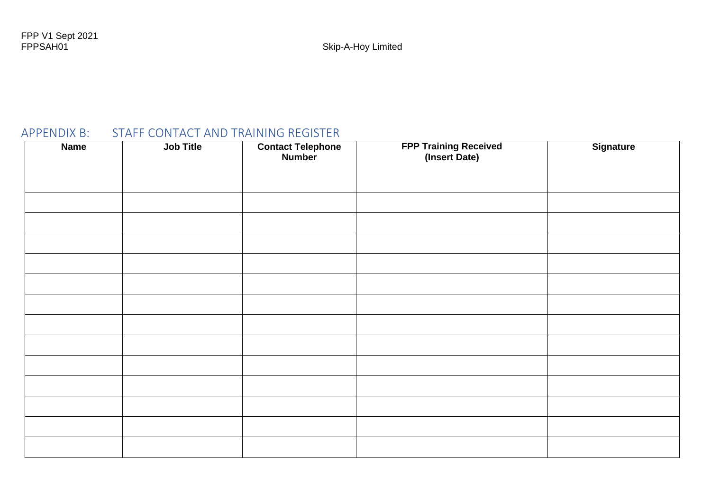# APPENDIX B: STAFF CONTACT AND TRAINING REGISTER

| <b>Name</b> | Job Title | <b>Contact Telephone</b><br>Number | <b>FPP Training Received</b><br>(Insert Date) | Signature |
|-------------|-----------|------------------------------------|-----------------------------------------------|-----------|
|             |           |                                    |                                               |           |
|             |           |                                    |                                               |           |
|             |           |                                    |                                               |           |
|             |           |                                    |                                               |           |
|             |           |                                    |                                               |           |
|             |           |                                    |                                               |           |
|             |           |                                    |                                               |           |
|             |           |                                    |                                               |           |
|             |           |                                    |                                               |           |
|             |           |                                    |                                               |           |
|             |           |                                    |                                               |           |
|             |           |                                    |                                               |           |
|             |           |                                    |                                               |           |
|             |           |                                    |                                               |           |
|             |           |                                    |                                               |           |
|             |           |                                    |                                               |           |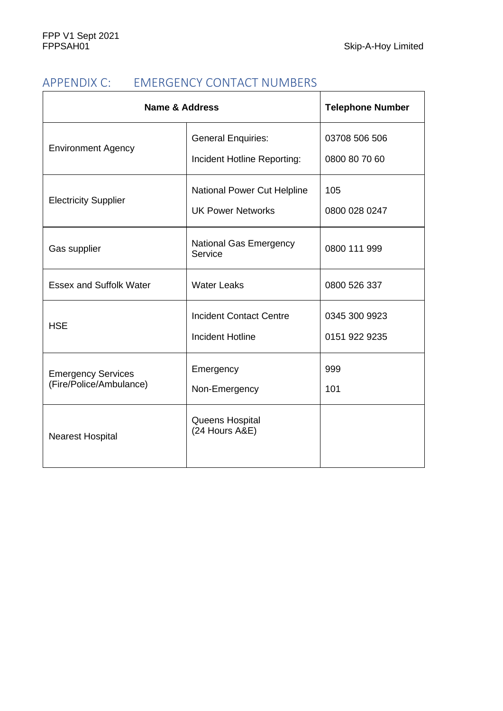# APPENDIX C: EMERGENCY CONTACT NUMBERS

| <b>Name &amp; Address</b>                            | <b>Telephone Number</b>                                        |                                |
|------------------------------------------------------|----------------------------------------------------------------|--------------------------------|
| <b>Environment Agency</b>                            | <b>General Enquiries:</b><br>Incident Hotline Reporting:       | 03708 506 506<br>0800 80 70 60 |
| <b>Electricity Supplier</b>                          | <b>National Power Cut Helpline</b><br><b>UK Power Networks</b> | 105<br>0800 028 0247           |
| Gas supplier                                         | <b>National Gas Emergency</b><br>Service                       | 0800 111 999                   |
| <b>Essex and Suffolk Water</b>                       | <b>Water Leaks</b>                                             | 0800 526 337                   |
| <b>HSE</b>                                           | <b>Incident Contact Centre</b><br><b>Incident Hotline</b>      | 0345 300 9923<br>0151 922 9235 |
| <b>Emergency Services</b><br>(Fire/Police/Ambulance) | Emergency<br>Non-Emergency                                     | 999<br>101                     |
| <b>Nearest Hospital</b>                              | Queens Hospital<br>(24 Hours A&E)                              |                                |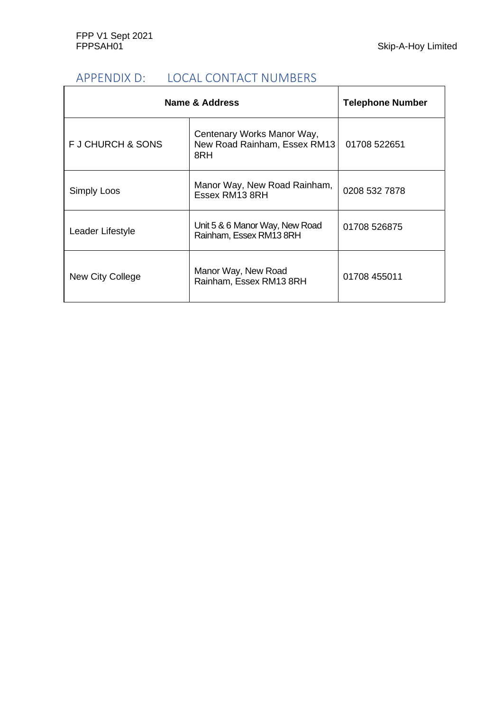# APPENDIX D: LOCAL CONTACT NUMBERS

| Name & Address    | <b>Telephone Number</b>                                           |               |
|-------------------|-------------------------------------------------------------------|---------------|
| F J CHURCH & SONS | Centenary Works Manor Way,<br>New Road Rainham, Essex RM13<br>8RH | 01708 522651  |
| Simply Loos       | Manor Way, New Road Rainham,<br>Essex RM13 8RH                    | 0208 532 7878 |
| Leader Lifestyle  | Unit 5 & 6 Manor Way, New Road<br>Rainham, Essex RM13 8RH         | 01708 526875  |
| New City College  | Manor Way, New Road<br>Rainham, Essex RM13 8RH                    | 01708 455011  |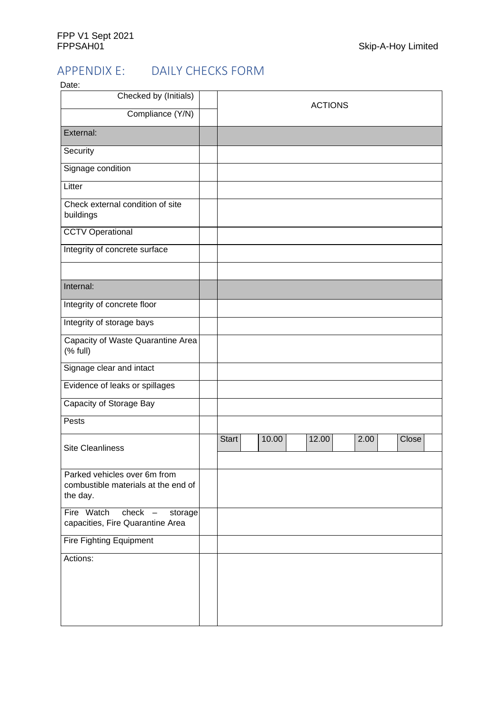#### APPENDIX E: DAILY CHECKS FORM  $\sim$

| Date:<br>Checked by (Initials)                                                  |                |  |       |       |      |  |       |
|---------------------------------------------------------------------------------|----------------|--|-------|-------|------|--|-------|
|                                                                                 | <b>ACTIONS</b> |  |       |       |      |  |       |
| Compliance (Y/N)                                                                |                |  |       |       |      |  |       |
| External:                                                                       |                |  |       |       |      |  |       |
| Security                                                                        |                |  |       |       |      |  |       |
| Signage condition                                                               |                |  |       |       |      |  |       |
| Litter                                                                          |                |  |       |       |      |  |       |
| Check external condition of site<br>buildings                                   |                |  |       |       |      |  |       |
| <b>CCTV Operational</b>                                                         |                |  |       |       |      |  |       |
| Integrity of concrete surface                                                   |                |  |       |       |      |  |       |
|                                                                                 |                |  |       |       |      |  |       |
| Internal:                                                                       |                |  |       |       |      |  |       |
| Integrity of concrete floor                                                     |                |  |       |       |      |  |       |
| Integrity of storage bays                                                       |                |  |       |       |      |  |       |
| Capacity of Waste Quarantine Area<br>(% full)                                   |                |  |       |       |      |  |       |
| Signage clear and intact                                                        |                |  |       |       |      |  |       |
| Evidence of leaks or spillages                                                  |                |  |       |       |      |  |       |
| Capacity of Storage Bay                                                         |                |  |       |       |      |  |       |
| Pests                                                                           |                |  |       |       |      |  |       |
| <b>Site Cleanliness</b>                                                         | <b>Start</b>   |  | 10.00 | 12.00 | 2.00 |  | Close |
| Parked vehicles over 6m from<br>combustible materials at the end of<br>the day. |                |  |       |       |      |  |       |
| Fire Watch<br>$check -$<br>storage<br>capacities, Fire Quarantine Area          |                |  |       |       |      |  |       |
| <b>Fire Fighting Equipment</b>                                                  |                |  |       |       |      |  |       |
| Actions:                                                                        |                |  |       |       |      |  |       |
|                                                                                 |                |  |       |       |      |  |       |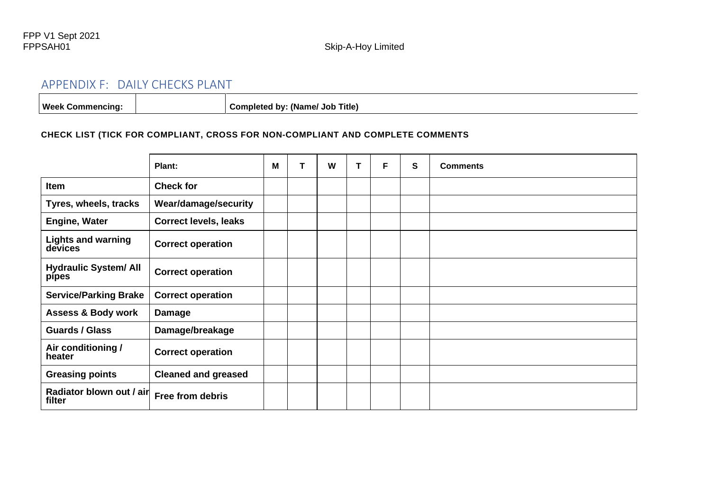### APPENDIX F: DAILY CHECKS PLANT

Week Commencing:  $\begin{vmatrix} \cdot & \cdot & \cdot \\ \cdot & \cdot & \cdot \\ \cdot & \cdot & \cdot \end{vmatrix}$  Completed by: (Name/ Job Title)

#### **CHECK LIST (TICK FOR COMPLIANT, CROSS FOR NON-COMPLIANT AND COMPLETE COMMENTS**

|                                       | Plant:                       | М | W | т | F | S | <b>Comments</b> |
|---------------------------------------|------------------------------|---|---|---|---|---|-----------------|
| Item                                  | <b>Check for</b>             |   |   |   |   |   |                 |
| Tyres, wheels, tracks                 | <b>Wear/damage/security</b>  |   |   |   |   |   |                 |
| <b>Engine, Water</b>                  | <b>Correct levels, leaks</b> |   |   |   |   |   |                 |
| <b>Lights and warning</b><br>devices  | <b>Correct operation</b>     |   |   |   |   |   |                 |
| <b>Hydraulic System/ All</b><br>pipes | <b>Correct operation</b>     |   |   |   |   |   |                 |
| <b>Service/Parking Brake</b>          | <b>Correct operation</b>     |   |   |   |   |   |                 |
| <b>Assess &amp; Body work</b>         | <b>Damage</b>                |   |   |   |   |   |                 |
| <b>Guards / Glass</b>                 | Damage/breakage              |   |   |   |   |   |                 |
| Air conditioning /<br>heater          | <b>Correct operation</b>     |   |   |   |   |   |                 |
| <b>Greasing points</b>                | <b>Cleaned and greased</b>   |   |   |   |   |   |                 |
| Radiator blown out / air<br>filter    | Free from debris             |   |   |   |   |   |                 |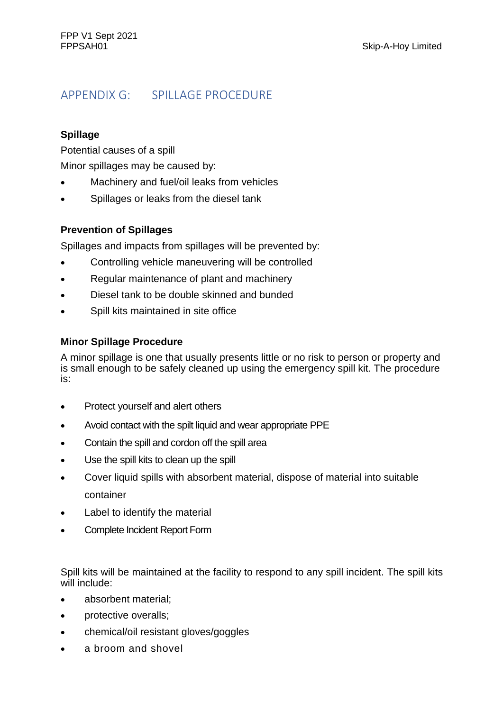# APPENDIX G: SPILLAGE PROCEDURE

#### **Spillage**

Potential causes of a spill

Minor spillages may be caused by:

- Machinery and fuel/oil leaks from vehicles
- Spillages or leaks from the diesel tank

#### **Prevention of Spillages**

Spillages and impacts from spillages will be prevented by:

- Controlling vehicle maneuvering will be controlled
- Regular maintenance of plant and machinery
- Diesel tank to be double skinned and bunded
- Spill kits maintained in site office

#### **Minor Spillage Procedure**

A minor spillage is one that usually presents little or no risk to person or property and is small enough to be safely cleaned up using the emergency spill kit. The procedure is:

- Protect yourself and alert others
- Avoid contact with the spilt liquid and wear appropriate PPE
- Contain the spill and cordon off the spill area
- Use the spill kits to clean up the spill
- Cover liquid spills with absorbent material, dispose of material into suitable container
- Label to identify the material
- Complete Incident Report Form

Spill kits will be maintained at the facility to respond to any spill incident. The spill kits will include:

- absorbent material;
- protective overalls;
- chemical/oil resistant gloves/goggles
- a broom and shovel